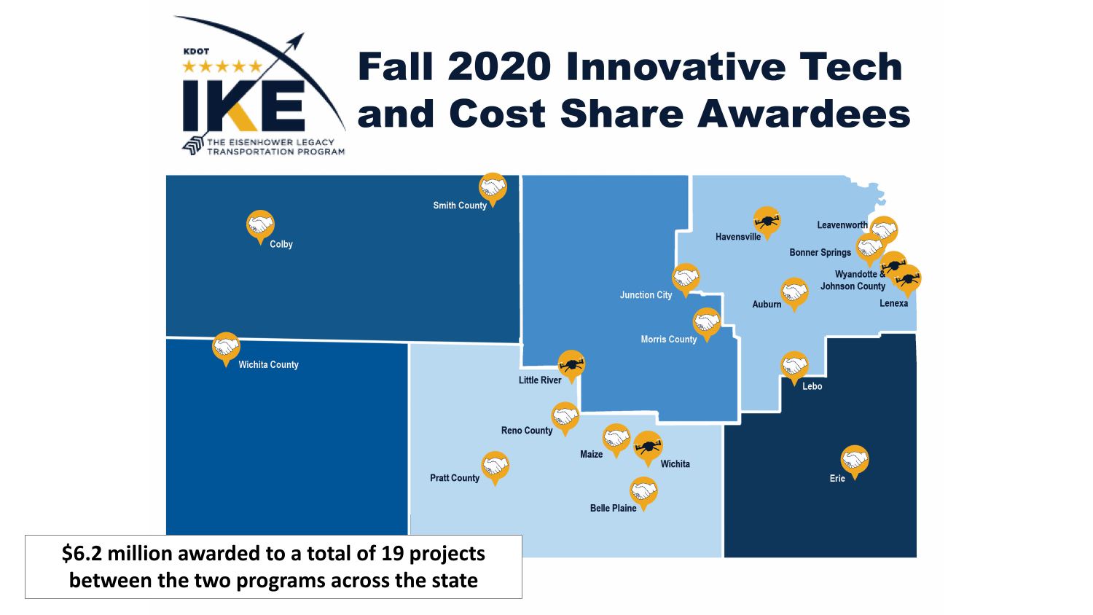

## **Fall 2020 Innovative Tech** and Cost Share Awardees



**between the two programs across the state**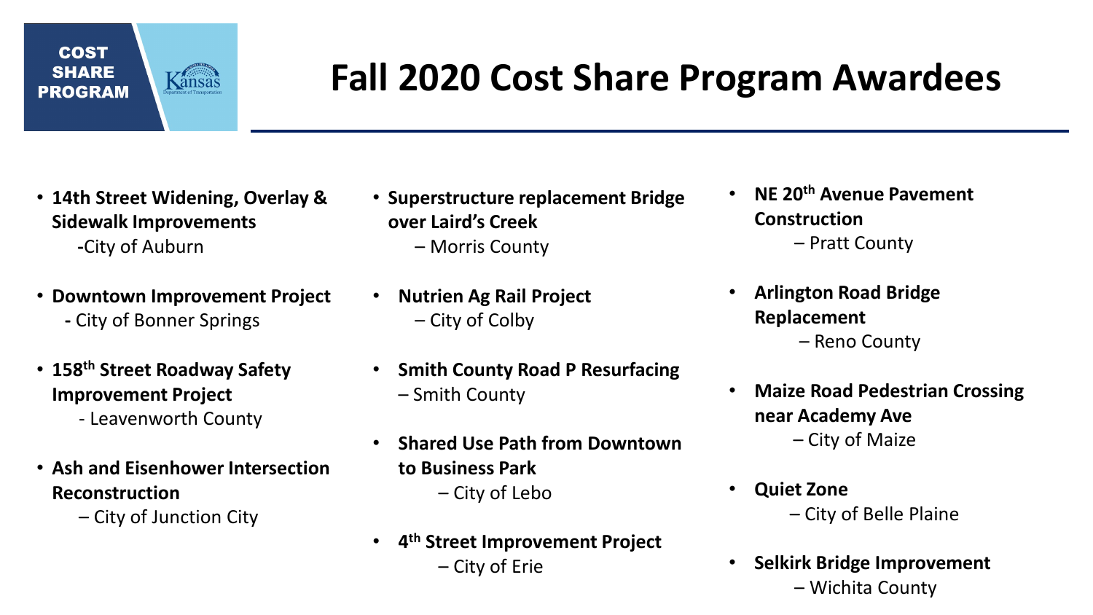## **COST SHARE** ansas **PROGRAM**

## **Fall 2020 Cost Share Program Awardees**

- **14th Street Widening, Overlay & Sidewalk Improvements -**City of Auburn
- **Downtown Improvement Project -** City of Bonner Springs
- **158th Street Roadway Safety Improvement Project**
	- Leavenworth County
- **Ash and Eisenhower Intersection Reconstruction**
	- City of Junction City
- **Superstructure replacement Bridge over Laird's Creek** – Morris County
- **Nutrien Ag Rail Project** – City of Colby
- **Smith County Road P Resurfacing**  – Smith County
- **Shared Use Path from Downtown to Business Park** – City of Lebo
- **4th Street Improvement Project** – City of Erie
- **NE 20th Avenue Pavement Construction** – Pratt County
- **Arlington Road Bridge Replacement** – Reno County
- **Maize Road Pedestrian Crossing near Academy Ave** – City of Maize
- **Quiet Zone** – City of Belle Plaine
- **Selkirk Bridge Improvement** – Wichita County